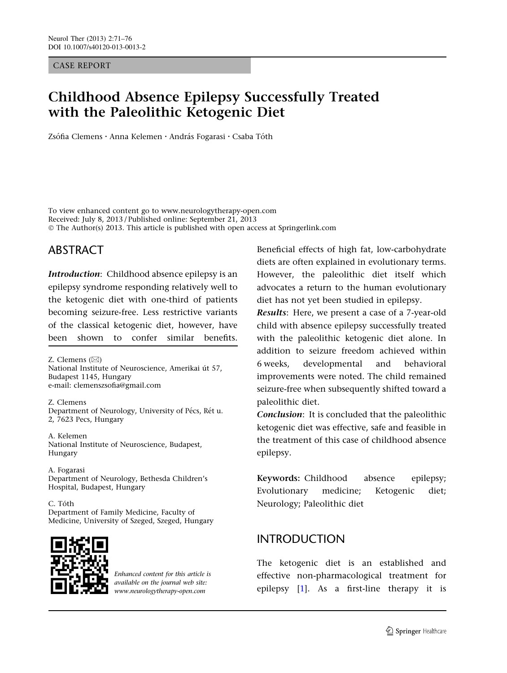CASE REPORT

# Childhood Absence Epilepsy Successfully Treated with the Paleolithic Ketogenic Diet

Zsófia Clemens • Anna Kelemen • András Fogarasi • Csaba Tóth

To view enhanced content go to www.neurologytherapy-open.com Received: July 8, 2013 / Published online: September 21, 2013 © The Author(s) 2013. This article is published with open access at Springerlink.com

# ABSTRACT

Introduction: Childhood absence epilepsy is an epilepsy syndrome responding relatively well to the ketogenic diet with one-third of patients becoming seizure-free. Less restrictive variants of the classical ketogenic diet, however, have been shown to confer similar benefits.

Z. Clemens  $(\boxtimes)$ National Institute of Neuroscience, Amerikai út 57, Budapest 1145, Hungary e-mail: clemenszsofia@gmail.com

Z. Clemens Department of Neurology, University of Pécs, Rét u. 2, 7623 Pecs, Hungary

A. Kelemen National Institute of Neuroscience, Budapest, Hungary

A. Fogarasi Department of Neurology, Bethesda Children's Hospital, Budapest, Hungary

C. Tóth Department of Family Medicine, Faculty of Medicine, University of Szeged, Szeged, Hungary



Enhanced content for this article is available on the journal web site: www.neurologytherapy-open.com

Beneficial effects of high fat, low-carbohydrate diets are often explained in evolutionary terms. However, the paleolithic diet itself which advocates a return to the human evolutionary diet has not yet been studied in epilepsy.

Results: Here, we present a case of a 7-year-old child with absence epilepsy successfully treated with the paleolithic ketogenic diet alone. In addition to seizure freedom achieved within 6 weeks, developmental and behavioral improvements were noted. The child remained seizure-free when subsequently shifted toward a paleolithic diet.

Conclusion: It is concluded that the paleolithic ketogenic diet was effective, safe and feasible in the treatment of this case of childhood absence epilepsy.

Keywords: Childhood absence epilepsy; Evolutionary medicine; Ketogenic diet; Neurology; Paleolithic diet

# INTRODUCTION

The ketogenic diet is an established and effective non-pharmacological treatment for epilepsy [\[1](#page-4-0)]. As a first-line therapy it is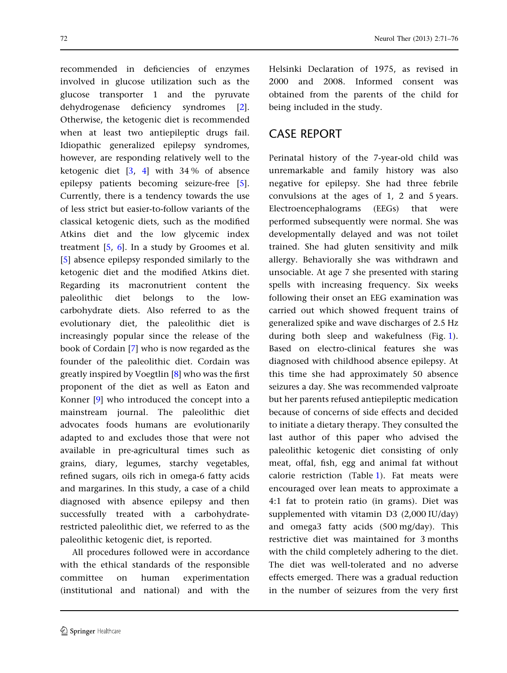recommended in deficiencies of enzymes involved in glucose utilization such as the glucose transporter 1 and the pyruvate dehydrogenase deficiency syndromes [\[2](#page-4-0)]. Otherwise, the ketogenic diet is recommended when at least two antiepileptic drugs fail. Idiopathic generalized epilepsy syndromes, however, are responding relatively well to the ketogenic diet  $[3, 4]$  $[3, 4]$  $[3, 4]$  $[3, 4]$  with 34% of absence epilepsy patients becoming seizure-free [\[5](#page-5-0)]. Currently, there is a tendency towards the use of less strict but easier-to-follow variants of the classical ketogenic diets, such as the modified Atkins diet and the low glycemic index treatment  $[5, 6]$  $[5, 6]$  $[5, 6]$  $[5, 6]$  $[5, 6]$ . In a study by Groomes et al. [\[5\]](#page-5-0) absence epilepsy responded similarly to the ketogenic diet and the modified Atkins diet. Regarding its macronutrient content the paleolithic diet belongs to the lowcarbohydrate diets. Also referred to as the evolutionary diet, the paleolithic diet is increasingly popular since the release of the book of Cordain [[7](#page-5-0)] who is now regarded as the founder of the paleolithic diet. Cordain was greatly inspired by Voegtlin [\[8](#page-5-0)] who was the first proponent of the diet as well as Eaton and Konner [[9](#page-5-0)] who introduced the concept into a mainstream journal. The paleolithic diet advocates foods humans are evolutionarily adapted to and excludes those that were not available in pre-agricultural times such as grains, diary, legumes, starchy vegetables, refined sugars, oils rich in omega-6 fatty acids and margarines. In this study, a case of a child diagnosed with absence epilepsy and then successfully treated with a carbohydraterestricted paleolithic diet, we referred to as the paleolithic ketogenic diet, is reported.

All procedures followed were in accordance with the ethical standards of the responsible committee on human experimentation (institutional and national) and with the Helsinki Declaration of 1975, as revised in 2000 and 2008. Informed consent was obtained from the parents of the child for being included in the study.

### CASE REPORT

Perinatal history of the 7-year-old child was unremarkable and family history was also negative for epilepsy. She had three febrile convulsions at the ages of 1, 2 and 5 years. Electroencephalograms (EEGs) that were performed subsequently were normal. She was developmentally delayed and was not toilet trained. She had gluten sensitivity and milk allergy. Behaviorally she was withdrawn and unsociable. At age 7 she presented with staring spells with increasing frequency. Six weeks following their onset an EEG examination was carried out which showed frequent trains of generalized spike and wave discharges of 2.5 Hz during both sleep and wakefulness (Fig. [1](#page-2-0)). Based on electro-clinical features she was diagnosed with childhood absence epilepsy. At this time she had approximately 50 absence seizures a day. She was recommended valproate but her parents refused antiepileptic medication because of concerns of side effects and decided to initiate a dietary therapy. They consulted the last author of this paper who advised the paleolithic ketogenic diet consisting of only meat, offal, fish, egg and animal fat without calorie restriction (Table [1\)](#page-3-0). Fat meats were encouraged over lean meats to approximate a 4:1 fat to protein ratio (in grams). Diet was supplemented with vitamin D3 (2,000 IU/day) and omega3 fatty acids (500 mg/day). This restrictive diet was maintained for 3 months with the child completely adhering to the diet. The diet was well-tolerated and no adverse effects emerged. There was a gradual reduction in the number of seizures from the very first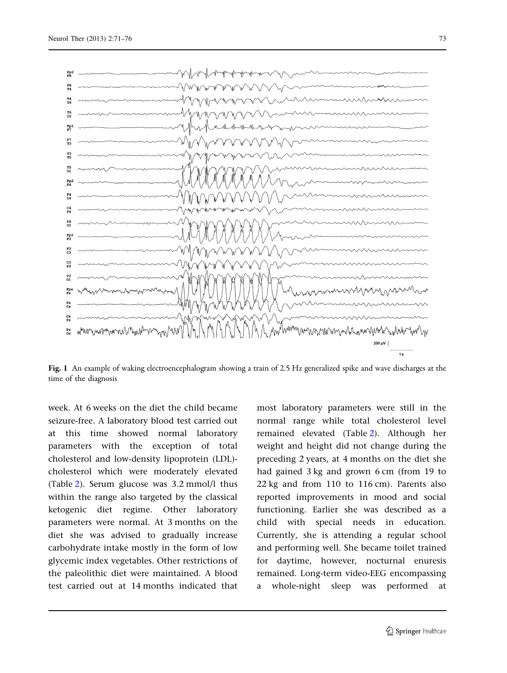<span id="page-2-0"></span>

Fig. 1 An example of waking electroencephalogram showing a train of 2.5 Hz generalized spike and wave discharges at the time of the diagnosis

week. At 6 weeks on the diet the child became seizure-free. A laboratory blood test carried out at this time showed normal laboratory parameters with the exception of total cholesterol and low-density lipoprotein (LDL) cholesterol which were moderately elevated (Table [2\)](#page-3-0). Serum glucose was 3.2 mmol/l thus within the range also targeted by the classical ketogenic diet regime. Other laboratory parameters were normal. At 3 months on the diet she was advised to gradually increase carbohydrate intake mostly in the form of low glycemic index vegetables. Other restrictions of the paleolithic diet were maintained. A blood test carried out at 14 months indicated that

most laboratory parameters were still in the normal range while total cholesterol level remained elevated (Table [2\)](#page-3-0). Although her weight and height did not change during the preceding 2 years, at 4 months on the diet she had gained 3 kg and grown 6 cm (from 19 to 22 kg and from 110 to 116 cm). Parents also reported improvements in mood and social functioning. Earlier she was described as a child with special needs in education. Currently, she is attending a regular school and performing well. She became toilet trained for daytime, however, nocturnal enuresis remained. Long-term video-EEG encompassing a whole-night sleep was performed at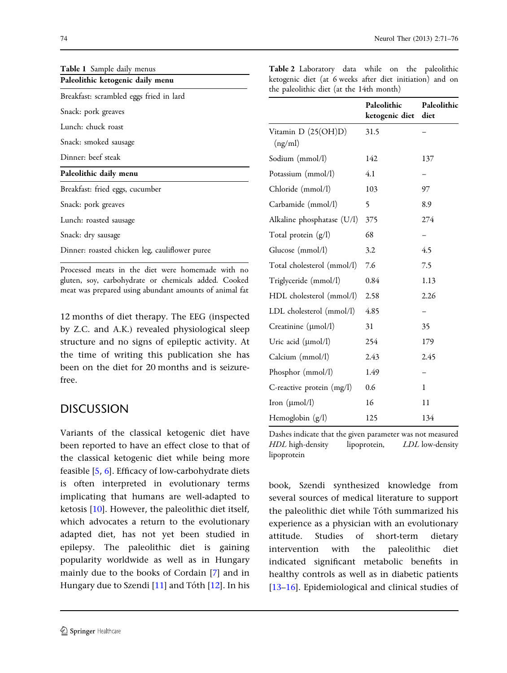<span id="page-3-0"></span>

|  | Neurol Ther (2013) 2:71–76 |
|--|----------------------------|
|--|----------------------------|

| Table 1 Sample daily menus                     |  |
|------------------------------------------------|--|
| Paleolithic ketogenic daily menu               |  |
| Breakfast: scrambled eggs fried in lard        |  |
| Snack: pork greaves                            |  |
| Lunch: chuck roast                             |  |
| Snack: smoked sausage                          |  |
| Dinner: beef steak                             |  |
| Paleolithic daily menu                         |  |
| Breakfast: fried eggs, cucumber                |  |
| Snack: pork greaves                            |  |
| Lunch: roasted sausage                         |  |
| Snack: dry sausage                             |  |
| Dinner: roasted chicken leg, cauliflower puree |  |
| $\mathbf{L}$                                   |  |

Processed meats in the diet were homemade with no gluten, soy, carbohydrate or chemicals added. Cooked meat was prepared using abundant amounts of animal fat

12 months of diet therapy. The EEG (inspected by Z.C. and A.K.) revealed physiological sleep structure and no signs of epileptic activity. At the time of writing this publication she has been on the diet for 20 months and is seizurefree.

### **DISCUSSION**

Variants of the classical ketogenic diet have been reported to have an effect close to that of the classical ketogenic diet while being more feasible [\[5](#page-5-0), [6](#page-5-0)]. Efficacy of low-carbohydrate diets is often interpreted in evolutionary terms implicating that humans are well-adapted to ketosis [[10](#page-5-0)]. However, the paleolithic diet itself, which advocates a return to the evolutionary adapted diet, has not yet been studied in epilepsy. The paleolithic diet is gaining popularity worldwide as well as in Hungary mainly due to the books of Cordain [[7](#page-5-0)] and in Hungary due to Szendi  $[11]$  $[11]$  $[11]$  and Tóth  $[12]$  $[12]$ . In his

| Table 2 Laboratory data while on the paleolithic         |  |  |  |
|----------------------------------------------------------|--|--|--|
| ketogenic diet (at 6 weeks after diet initiation) and on |  |  |  |
| the paleolithic diet (at the 14th month)                 |  |  |  |

|                                | Paleolithic<br>ketogenic diet | Paleolithic<br>diet |
|--------------------------------|-------------------------------|---------------------|
| Vitamin D (25(OH)D)<br>(ng/ml) | 31.5                          |                     |
| Sodium (mmol/l)                | 142                           | 137                 |
| Potassium (mmol/l)             | 4.1                           |                     |
| Chloride (mmol/l)              | 103                           | 97                  |
| Carbamide (mmol/l)             | 5                             | 8.9                 |
| Alkaline phosphatase (U/l)     | 375                           | 274                 |
| Total protein (g/l)            | 68                            |                     |
| Glucose (mmol/l)               | 3.2                           | 4.5                 |
| Total cholesterol (mmol/l)     | 7.6                           | 7.5                 |
| Triglyceride (mmol/l)          | 0.84                          | 1.13                |
| HDL cholesterol (mmol/l)       | 2.58                          | 2.26                |
| LDL cholesterol (mmol/l)       | 4.85                          |                     |
| Creatinine $(\mu mol/l)$       | 31                            | 35                  |
| Uric acid $(\mu$ mol/l)        | 254                           | 179                 |
| Calcium (mmol/l)               | 2.43                          | 2.45                |
| Phosphor (mmol/l)              | 1.49                          |                     |
| C-reactive protein $(mg/l)$    | 0.6                           | 1                   |
| Iron $(\mu mol/l)$             | 16                            | 11                  |
| Hemoglobin (g/l)               | 125                           | 134                 |

Dashes indicate that the given parameter was not measured HDL high-density lipoprotein, LDL low-density lipoprotein

book, Szendi synthesized knowledge from several sources of medical literature to support the paleolithic diet while Tóth summarized his experience as a physician with an evolutionary attitude. Studies of short-term dietary intervention with the paleolithic diet indicated significant metabolic benefits in healthy controls as well as in diabetic patients [\[13–16](#page-5-0)]. Epidemiological and clinical studies of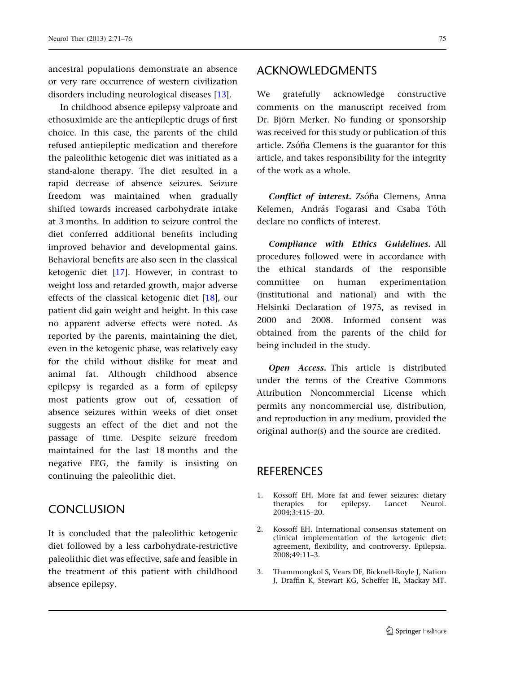<span id="page-4-0"></span>ancestral populations demonstrate an absence or very rare occurrence of western civilization disorders including neurological diseases [[13](#page-5-0)].

In childhood absence epilepsy valproate and ethosuximide are the antiepileptic drugs of first choice. In this case, the parents of the child refused antiepileptic medication and therefore the paleolithic ketogenic diet was initiated as a stand-alone therapy. The diet resulted in a rapid decrease of absence seizures. Seizure freedom was maintained when gradually shifted towards increased carbohydrate intake at 3 months. In addition to seizure control the diet conferred additional benefits including improved behavior and developmental gains. Behavioral benefits are also seen in the classical ketogenic diet [\[17\]](#page-5-0). However, in contrast to weight loss and retarded growth, major adverse effects of the classical ketogenic diet [\[18\]](#page-5-0), our patient did gain weight and height. In this case no apparent adverse effects were noted. As reported by the parents, maintaining the diet, even in the ketogenic phase, was relatively easy for the child without dislike for meat and animal fat. Although childhood absence epilepsy is regarded as a form of epilepsy most patients grow out of, cessation of absence seizures within weeks of diet onset suggests an effect of the diet and not the passage of time. Despite seizure freedom maintained for the last 18 months and the negative EEG, the family is insisting on continuing the paleolithic diet.

#### **CONCLUSION**

It is concluded that the paleolithic ketogenic diet followed by a less carbohydrate-restrictive paleolithic diet was effective, safe and feasible in the treatment of this patient with childhood absence epilepsy.

#### ACKNOWLEDGMENTS

We gratefully acknowledge constructive comments on the manuscript received from Dr. Björn Merker. No funding or sponsorship was received for this study or publication of this article. Zsófia Clemens is the guarantor for this article, and takes responsibility for the integrity of the work as a whole.

Conflict of interest. Zsófia Clemens, Anna Kelemen, András Fogarasi and Csaba Tóth declare no conflicts of interest.

Compliance with Ethics Guidelines. All procedures followed were in accordance with the ethical standards of the responsible committee on human experimentation (institutional and national) and with the Helsinki Declaration of 1975, as revised in 2000 and 2008. Informed consent was obtained from the parents of the child for being included in the study.

Open Access. This article is distributed under the terms of the Creative Commons Attribution Noncommercial License which permits any noncommercial use, distribution, and reproduction in any medium, provided the original author(s) and the source are credited.

# **REFERENCES**

- 1. Kossoff EH. More fat and fewer seizures: dietary therapies for epilepsy. Lancet Neurol. 2004;3:415–20.
- 2. Kossoff EH. International consensus statement on clinical implementation of the ketogenic diet: agreement, flexibility, and controversy. Epilepsia. 2008;49:11–3.
- 3. Thammongkol S, Vears DF, Bicknell-Royle J, Nation J, Draffin K, Stewart KG, Scheffer IE, Mackay MT.